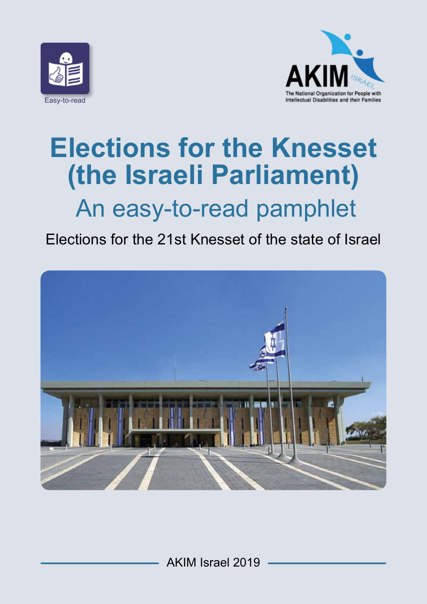



# **Elections for the Knesset (the Israeli Parliament)**  An easy-to-read pamphlet

### Elections for the 21st Knesset of the state of Israel

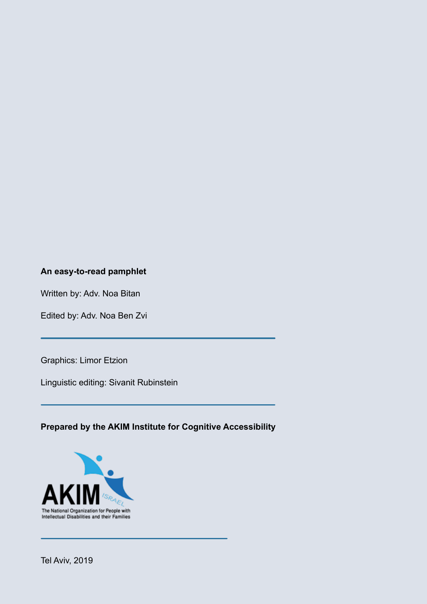#### **An easy-to-read pamphlet**

Written by: Adv. Noa Bitan

Edited by: Adv. Noa Ben Zvi

Graphics: Limor Etzion

Linguistic editing: Sivanit Rubinstein

**Prepared by the AKIM Institute for Cognitive Accessibility**

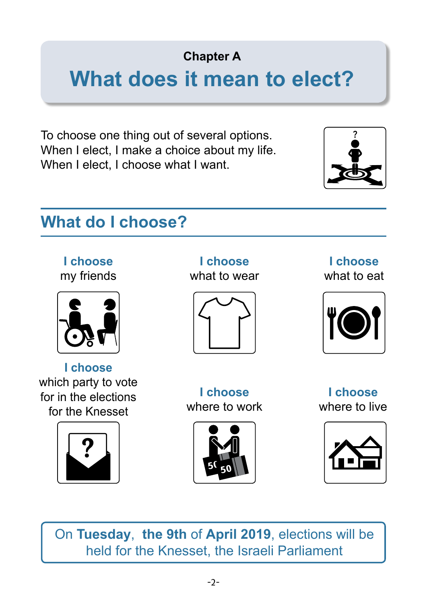**Chapter A**

# **What does it mean to elect?**

To choose one thing out of several options. When I elect, I make a choice about my life. When I elect, I choose what I want.



# **What do I choose?**

**I choose** my friends



**I choose** which party to vote for in the elections for the Knesset



**I choose** what to wear



**I choose** what to eat



**I choose** where to work



**I choose** where to live



On **Tuesday**, **the 9th** of **April 2019**, elections will be held for the Knesset, the Israeli Parliament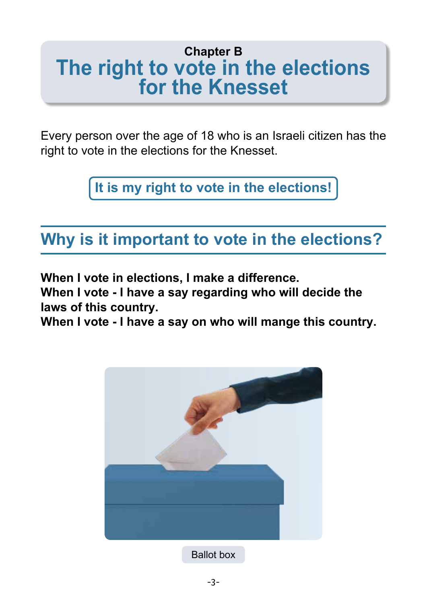# **Chapter B The right to vote in the elections for the Knesset**

Every person over the age of 18 who is an Israeli citizen has the right to vote in the elections for the Knesset.

**It is my right to vote in the elections!**

# **Why is it important to vote in the elections?**

**When I vote in elections, I make a difference.**

**When I vote - I have a say regarding who will decide the laws of this country.**

**When I vote - I have a say on who will mange this country.**

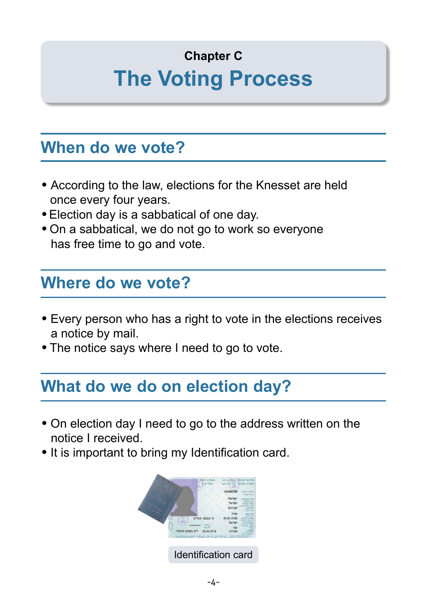# **Chapter C The Voting Process**

## **When do we vote?**

- According to the law, elections for the Knesset are held once every four years.
- Election day is a sabbatical of one day.
- On a sabbatical, we do not go to work so everyone has free time to go and vote.

### **Where do we vote?**

- Every person who has a right to vote in the elections receives a notice by mail.
- The notice says where I need to go to vote.

## **What do we do on election day?**

- On election day I need to go to the address written on the notice I received.
- It is important to bring my Identification card.

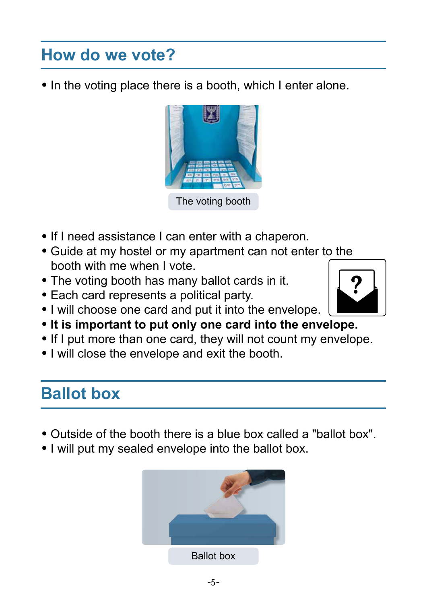# **How do we vote?**

• In the voting place there is a booth, which I enter alone.



The voting booth

- If I need assistance I can enter with a chaperon.
- Guide at my hostel or my apartment can not enter to the booth with me when I vote. **?**
- The voting booth has many ballot cards in it.
- Each card represents a political party.
- I will choose one card and put it into the envelope.
- **It is important to put only one card into the envelope.**
- If I put more than one card, they will not count my envelope.
- I will close the envelope and exit the booth.

# **Ballot box**

- Outside of the booth there is a blue box called a "ballot box".
- I will put my sealed envelope into the ballot box.

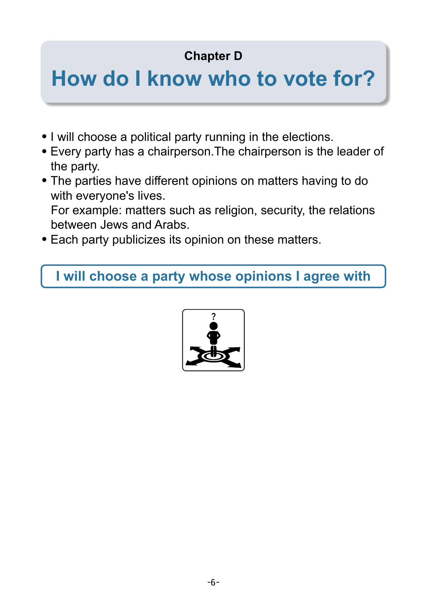### **Chapter D**

# **How do I know who to vote for?**

- I will choose a political party running in the elections.
- Every party has a chairperson.The chairperson is the leader of the party.
- The parties have different opinions on matters having to do with everyone's lives.

 For example: matters such as religion, security, the relations between Jews and Arabs.

Each party publicizes its opinion on these matters.

**I will choose a party whose opinions I agree with**

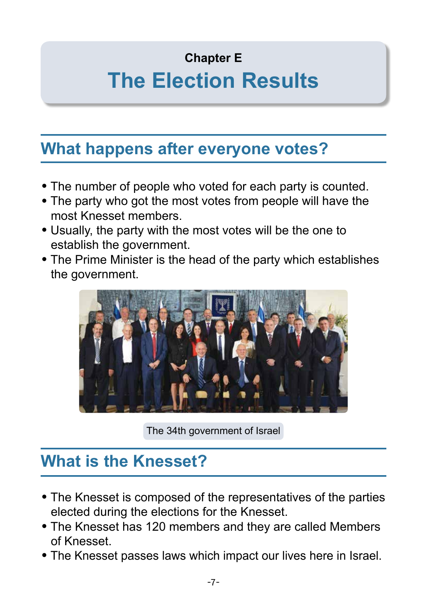#### **Chapter E**

# **The Election Results**

## **What happens after everyone votes?**

- The number of people who voted for each party is counted.
- The party who got the most votes from people will have the most Knesset members.
- Usually, the party with the most votes will be the one to establish the government.
- The Prime Minister is the head of the party which establishes the government.



The 34th government of Israel

## **What is the Knesset?**

- The Knesset is composed of the representatives of the parties elected during the elections for the Knesset.
- The Knesset has 120 members and they are called Members of Knesset.
- The Knesset passes laws which impact our lives here in Israel.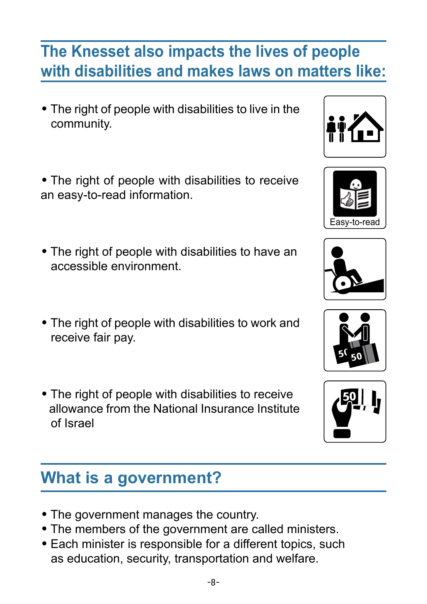# **The Knesset also impacts the lives of people with disabilities and makes laws on matters like:**

- The right of people with disabilities to live in the community.
- The right of people with disabilities to receive an easy-to-read information.
- The right of people with disabilities to have an accessible environment.
- The right of people with disabilities to work and receive fair pay.
- The right of people with disabilities to receive allowance from the National Insurance Institute of Israel

# **What is a government?**

- The government manages the country.
- The members of the government are called ministers.
- Each minister is responsible for a different topics, such as education, security, transportation and welfare.







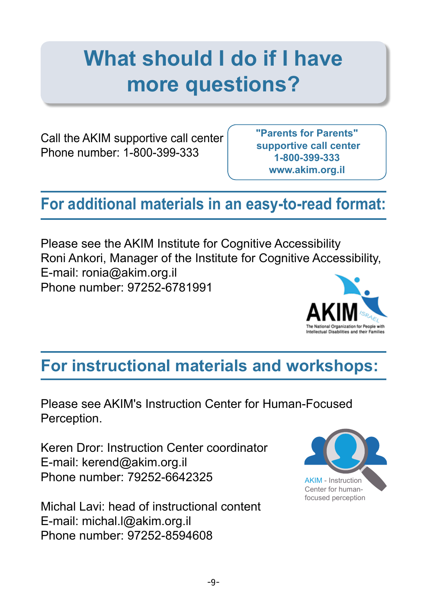# **What should I do if I have more questions?**

Call the AKIM supportive call center Phone number: 1-800-399-333

**"Parents for Parents" supportive call center 1-800-399-333 www.akim.org.il**

# **For additional materials in an easy-to-read format:**

Please see the AKIM Institute for Cognitive Accessibility Roni Ankori, Manager of the Institute for Cognitive Accessibility, E-mail: ronia@akim.org.il Phone number: 97252-6781991

# **For instructional materials and workshops:**

Please see AKIM's Instruction Center for Human-Focused Perception.

Keren Dror: Instruction Center coordinator E-mail: kerend@akim.org.il Phone number: 79252-6642325

Michal Lavi: head of instructional content E-mail: michal.l@akim.org.il Phone number: 97252-8594608